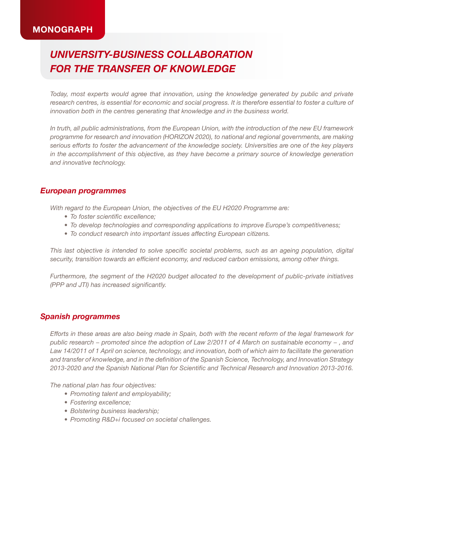## **MONOGRAPH**

# *University-business collaboration for the transfer of knowledge*

*Today, most experts would agree that innovation, using the knowledge generated by public and private*  research centres, is essential for economic and social progress. It is therefore essential to foster a culture of *innovation both in the centres generating that knowledge and in the business world.*

*In truth, all public administrations, from the European Union, with the introduction of the new EU framework programme for research and innovation (HORIZON 2020), to national and regional governments, are making serious efforts to foster the advancement of the knowledge society. Universities are one of the key players in the accomplishment of this objective, as they have become a primary source of knowledge generation and innovative technology.*

#### *European programmes*

*With regard to the European Union, the objectives of the EU H2020 Programme are:*

- *• To foster scientific excellence;*
- *• To develop technologies and corresponding applications to improve Europe's competitiveness;*
- *• To conduct research into important issues affecting European citizens.*

*This last objective is intended to solve specific societal problems, such as an ageing population, digital security, transition towards an efficient economy, and reduced carbon emissions, among other things.*

*Furthermore, the segment of the H2020 budget allocated to the development of public-private initiatives (PPP and JTI) has increased significantly.*

#### *Spanish programmes*

*Efforts in these areas are also being made in Spain, both with the recent reform of the legal framework for public research − promoted since the adoption of Law 2/2011 of 4 March on sustainable economy − , and Law 14/2011 of 1 April on science, technology, and innovation, both of which aim to facilitate the generation and transfer of knowledge, and in the definition of the Spanish Science, Technology, and Innovation Strategy 2013-2020 and the Spanish National Plan for Scientific and Technical Research and Innovation 2013-2016.*

*The national plan has four objectives:*

- *• Promoting talent and employability;*
- *• Fostering excellence;*
- *• Bolstering business leadership;*
- *• Promoting R&D+i focused on societal challenges.*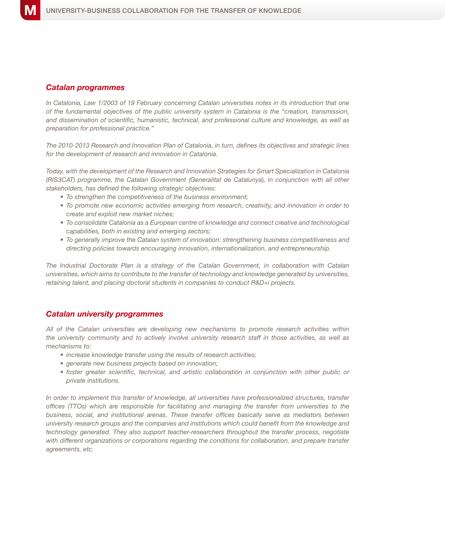#### *Catalan programmes*

*In Catalonia, Law 1/2003 of 19 February concerning Catalan universities notes in its introduction that one of the fundamental objectives of the public university system in Catalonia is the "creation, transmission, and dissemination of scientific, humanistic, technical, and professional culture and knowledge, as well as preparation for professional practice."*

*The 2010-2013 Research and Innovation Plan of Catalonia, in turn, defines its objectives and strategic lines for the development of research and innovation in Catalonia.*

*Today, with the development of the Research and Innovation Strategies for Smart Specialization in Catalonia (RIS3CAT) programme, the Catalan Government (Generalitat de Catalunya), in conjunction with all other stakeholders, has defined the following strategic objectives:*

- *• To strengthen the competitiveness of the business environment;*
- *• To promote new economic activities emerging from research, creativity, and innovation in order to create and exploit new market niches;*
- *• To consolidate Catalonia as a European centre of knowledge and connect creative and technological capabilities, both in existing and emerging sectors;*
- *• To generally improve the Catalan system of innovation: strengthening business competitiveness and directing policies towards encouraging innovation, internationalization, and entrepreneurship.*

*The Industrial Doctorate Plan is a strategy of the Catalan Government, in collaboration with Catalan universities, which aims to contribute to the transfer of technology and knowledge generated by universities, retaining talent, and placing doctoral students in companies to conduct R&D+i projects.*

#### *Catalan university programmes*

*All of the Catalan universities are developing new mechanisms to promote research activities within the university community and to actively involve university research staff in those activities, as well as mechanisms to:*

- *• increase knowledge transfer using the results of research activities;*
- *• generate new business projects based on innovation;*
- *• foster greater scientific, technical, and artistic collaboration in conjunction with other public or private institutions.*

*In order to implement this transfer of knowledge, all universities have professionalized structures, transfer offices (TTOs) which are responsible for facilitating and managing the transfer from universities to the business, social, and institutional arenas. These transfer offices basically serve as mediators between university research groups and the companies and institutions which could benefit from the knowledge and technology generated. They also support teacher-researchers throughout the transfer process, negotiate with different organizations or corporations regarding the conditions for collaboration, and prepare transfer agreements, etc.*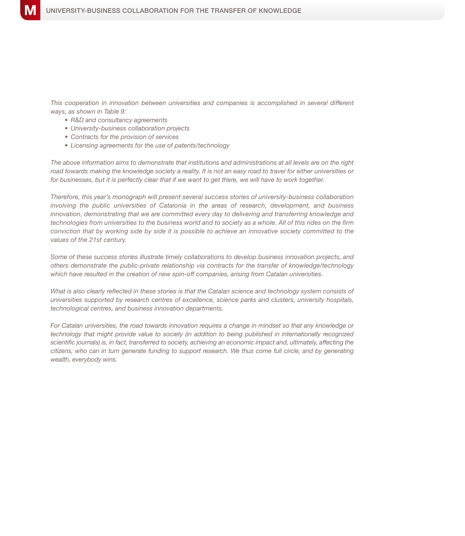*This cooperation in innovation between universities and companies is accomplished in several different ways, as shown in Table 9:*

- *• R&D and consultancy agreements*
- *• University-business collaboration projects*
- *• Contracts for the provision of services*
- *• Licensing agreements for the use of patents/technology*

*The above information aims to demonstrate that institutions and administrations at all levels are on the right road towards making the knowledge society a reality. It is not an easy road to travel for either universities or for businesses, but it is perfectly clear that if we want to get there, we will have to work together.*

*Therefore, this year's monograph will present several success stories of university-business collaboration involving the public universities of Catalonia in the areas of research, development, and business innovation, demonstrating that we are committed every day to delivering and transferring knowledge and technologies from universities to the business world and to society as a whole. All of this rides on the firm conviction that by working side by side it is possible to achieve an innovative society committed to the values of the 21st century.*

*Some of these success stories illustrate timely collaborations to develop business innovation projects, and others demonstrate the public-private relationship via contracts for the transfer of knowledge/technology which have resulted in the creation of new spin-off companies, arising from Catalan universities.*

*What is also clearly reflected in these stories is that the Catalan science and technology system consists of universities supported by research centres of excellence, science parks and clusters, university hospitals, technological centres, and business innovation departments.*

*For Catalan universities, the road towards innovation requires a change in mindset so that any knowledge or technology that might provide value to society (in addition to being published in internationally recognized scientific journals) is, in fact, transferred to society, achieving an economic impact and, ultimately, affecting the citizens, who can in turn generate funding to support research. We thus come full circle, and by generating wealth, everybody wins.*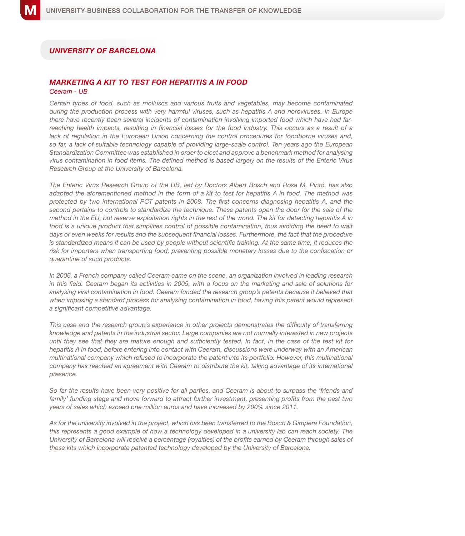## *UniversiTY OF Barcelona*

## *Marketing a kit to test for hepatitis A in food*

#### *Ceeram - UB*

*Certain types of food, such as molluscs and various fruits and vegetables, may become contaminated during the production process with very harmful viruses, such as hepatitis A and noroviruses. In Europe there have recently been several incidents of contamination involving imported food which have had farreaching health impacts, resulting in financial losses for the food industry. This occurs as a result of a*  lack of regulation in the European Union concerning the control procedures for foodborne viruses and, so far, a lack of suitable technology capable of providing large-scale control. Ten years ago the European *Standardization Committee was established in order to elect and approve a benchmark method for analysing virus contamination in food items. The defined method is based largely on the results of the Enteric Virus Research Group at the University of Barcelona.* 

*The Enteric Virus Research Group of the UB, led by Doctors Albert Bosch and Rosa M. Pintó, has also adapted the aforementioned method in the form of a kit to test for hepatitis A in food. The method was protected by two international PCT patents in 2008. The first concerns diagnosing hepatitis A, and the second pertains to controls to standardize the technique. These patents open the door for the sale of the method in the EU, but reserve exploitation rights in the rest of the world. The kit for detecting hepatitis A in*  food is a unique product that simplifies control of possible contamination, thus avoiding the need to wait days or even weeks for results and the subsequent financial losses. Furthermore, the fact that the procedure is standardized means it can be used by people without scientific training. At the same time, it reduces the *risk for importers when transporting food, preventing possible monetary losses due to the confiscation or quarantine of such products.*

*In 2006, a French company called Ceeram came on the scene, an organization involved in leading research in this field. Ceeram began its activities in 2005, with a focus on the marketing and sale of solutions for analysing viral contamination in food. Ceeram funded the research group's patents because it believed that when imposing a standard process for analysing contamination in food, having this patent would represent a significant competitive advantage.* 

*This case and the research group's experience in other projects demonstrates the difficulty of transferring knowledge and patents in the industrial sector. Large companies are not normally interested in new projects until they see that they are mature enough and sufficiently tested. In fact, in the case of the test kit for hepatitis A in food, before entering into contact with Ceeram, discussions were underway with an American*  multinational company which refused to incorporate the patent into its portfolio. However, this multinational *company has reached an agreement with Ceeram to distribute the kit, taking advantage of its international presence.* 

*So far the results have been very positive for all parties, and Ceeram is about to surpass the 'friends and family' funding stage and move forward to attract further investment, presenting profits from the past two years of sales which exceed one million euros and have increased by 200% since 2011.* 

*As for the university involved in the project, which has been transferred to the Bosch & Gimpera Foundation, this represents a good example of how a technology developed in a university lab can reach society. The University of Barcelona will receive a percentage (royalties) of the profits earned by Ceeram through sales of these kits which incorporate patented technology developed by the University of Barcelona.*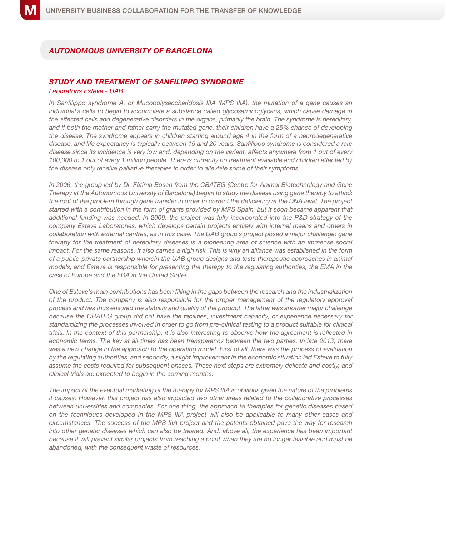## *Autonomous University of Barcelona*

#### *Study and treatment of Sanfilippo syndrome Laboratoris Esteve - UAB*

*In Sanfilippo syndrome A, or Mucopolysaccharidosis IIIA (MPS IIIA), the mutation of a gene causes an individual's cells to begin to accumulate a substance called glycosaminoglycans, which cause damage in the affected cells and degenerative disorders in the organs, primarily the brain. The syndrome is hereditary, and if both the mother and father carry the mutated gene, their children have a 25% chance of developing the disease. The syndrome appears in children starting around age 4 in the form of a neurodegenerative disease, and life expectancy is typically between 15 and 20 years. Sanfilippo syndrome is considered a rare disease since its incidence is very low and, depending on the variant, affects anywhere from 1 out of every 100,000 to 1 out of every 1 million people. There is currently no treatment available and children affected by the disease only receive palliative therapies in order to alleviate some of their symptoms.* 

*In 2006, the group led by Dr. Fàtima Bosch from the CBATEG (Centre for Animal Biotechnology and Gene Therapy at the Autonomous University of Barcelona) began to study the disease using gene therapy to attack the root of the problem through gene transfer in order to correct the deficiency at the DNA level. The project started with a contribution in the form of grants provided by MPS Spain, but it soon became apparent that additional funding was needed. In 2009, the project was fully incorporated into the R&D strategy of the company Esteve Laboratories, which develops certain projects entirely with internal means and others in collaboration with external centres, as in this case. The UAB group's project posed a major challenge: gene*  therapy for the treatment of hereditary diseases is a pioneering area of science with an immense social *impact. For the same reasons, it also carries a high risk. This is why an alliance was established in the form of a public-private partnership wherein the UAB group designs and tests therapeutic approaches in animal models, and Esteve is responsible for presenting the therapy to the regulating authorities, the EMA in the case of Europe and the FDA in the United States.* 

*One of Esteve's main contributions has been filling in the gaps between the research and the industrialization of the product. The company is also responsible for the proper management of the regulatory approval process and has thus ensured the stability and quality of the product. The latter was another major challenge because the CBATEG group did not have the facilities, investment capacity, or experience necessary for standardizing the processes involved in order to go from pre-clinical testing to a product suitable for clinical trials. In the context of this partnership, it is also interesting to observe how the agreement is reflected in economic terms. The key at all times has been transparency between the two parties. In late 2013, there*  was a new change in the approach to the operating model. First of all, there was the process of evaluation *by the regulating authorities, and secondly, a slight improvement in the economic situation led Esteve to fully assume the costs required for subsequent phases. These next steps are extremely delicate and costly, and clinical trials are expected to begin in the coming months.*

*The impact of the eventual marketing of the therapy for MPS IIIA is obvious given the nature of the problems it causes. However, this project has also impacted two other areas related to the collaborative processes between universities and companies. For one thing, the approach to therapies for genetic diseases based on the techniques developed in the MPS IIIA project will also be applicable to many other cases and circumstances. The success of the MPS IIIA project and the patents obtained pave the way for research into other genetic diseases which can also be treated. And, above all, the experience has been important because it will prevent similar projects from reaching a point when they are no longer feasible and must be abandoned, with the consequent waste of resources.*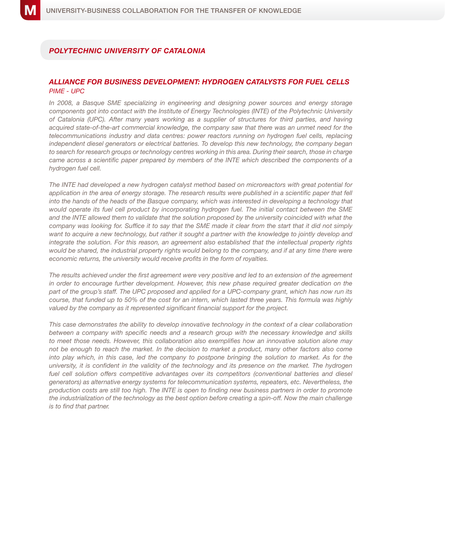## *Polytechnic University of Catalonia*

#### *Alliance for business development: hydrogen catalysts for fuel cells PIME - UPC*

*In 2008, a Basque SME specializing in engineering and designing power sources and energy storage components got into contact with the Institute of Energy Technologies (INTE) of the Polytechnic University of Catalonia (UPC). After many years working as a supplier of structures for third parties, and having acquired state-of-the-art commercial knowledge, the company saw that there was an unmet need for the telecommunications industry and data centres: power reactors running on hydrogen fuel cells, replacing independent diesel generators or electrical batteries. To develop this new technology, the company began*  to search for research groups or technology centres working in this area. During their search, those in charge *came across a scientific paper prepared by members of the INTE which described the components of a hydrogen fuel cell.* 

*The INTE had developed a new hydrogen catalyst method based on microreactors with great potential for*  application in the area of energy storage. The research results were published in a scientific paper that fell *into the hands of the heads of the Basque company, which was interested in developing a technology that would operate its fuel cell product by incorporating hydrogen fuel. The initial contact between the SME and the INTE allowed them to validate that the solution proposed by the university coincided with what the company was looking for. Suffice it to say that the SME made it clear from the start that it did not simply*  want to acquire a new technology, but rather it sought a partner with the knowledge to jointly develop and *integrate the solution. For this reason, an agreement also established that the intellectual property rights would be shared, the industrial property rights would belong to the company, and if at any time there were economic returns, the university would receive profits in the form of royalties.* 

*The results achieved under the first agreement were very positive and led to an extension of the agreement in order to encourage further development. However, this new phase required greater dedication on the part of the group's staff. The UPC proposed and applied for a UPC-company grant, which has now run its course, that funded up to 50% of the cost for an intern, which lasted three years. This formula was highly valued by the company as it represented significant financial support for the project.*

*This case demonstrates the ability to develop innovative technology in the context of a clear collaboration between a company with specific needs and a research group with the necessary knowledge and skills to meet those needs. However, this collaboration also exemplifies how an innovative solution alone may not be enough to reach the market. In the decision to market a product, many other factors also come into play which, in this case, led the company to postpone bringing the solution to market. As for the university, it is confident in the validity of the technology and its presence on the market. The hydrogen*  fuel cell solution offers competitive advantages over its competitors (conventional batteries and diesel *generators) as alternative energy systems for telecommunication systems, repeaters, etc. Nevertheless, the production costs are still too high. The INTE is open to finding new business partners in order to promote the industrialization of the technology as the best option before creating a spin-off. Now the main challenge is to find that partner.*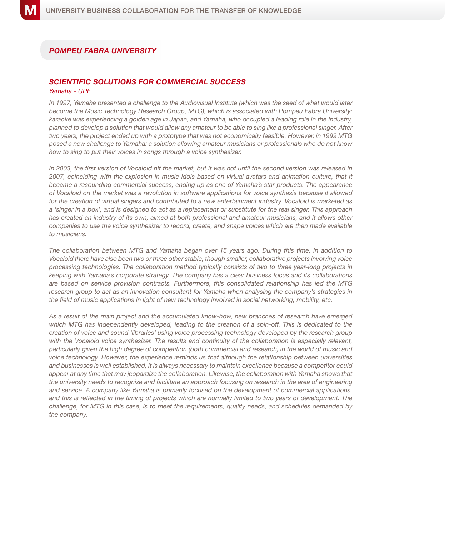## *Pompeu Fabra University*

## *Scientific solutions for commercial success*

#### *Yamaha - UPF*

*In 1997, Yamaha presented a challenge to the Audiovisual Institute (which was the seed of what would later become the Music Technology Research Group, MTG), which is associated with Pompeu Fabra University: karaoke was experiencing a golden age in Japan, and Yamaha, who occupied a leading role in the industry, planned to develop a solution that would allow any amateur to be able to sing like a professional singer. After two years, the project ended up with a prototype that was not economically feasible. However, in 1999 MTG posed a new challenge to Yamaha: a solution allowing amateur musicians or professionals who do not know how to sing to put their voices in songs through a voice synthesizer.* 

*In 2003, the first version of Vocaloid hit the market, but it was not until the second version was released in 2007, coinciding with the explosion in music idols based on virtual avatars and animation culture, that it became a resounding commercial success, ending up as one of Yamaha's star products. The appearance of Vocaloid on the market was a revolution in software applications for voice synthesis because it allowed for the creation of virtual singers and contributed to a new entertainment industry. Vocaloid is marketed as a 'singer in a box', and is designed to act as a replacement or substitute for the real singer. This approach has created an industry of its own, aimed at both professional and amateur musicians, and it allows other companies to use the voice synthesizer to record, create, and shape voices which are then made available to musicians.* 

*The collaboration between MTG and Yamaha began over 15 years ago. During this time, in addition to Vocaloid there have also been two or three other stable, though smaller, collaborative projects involving voice processing technologies. The collaboration method typically consists of two to three year-long projects in keeping with Yamaha's corporate strategy. The company has a clear business focus and its collaborations are based on service provision contracts. Furthermore, this consolidated relationship has led the MTG research group to act as an innovation consultant for Yamaha when analysing the company's strategies in the field of music applications in light of new technology involved in social networking, mobility, etc.*

*As a result of the main project and the accumulated know-how, new branches of research have emerged*  which MTG has independently developed, leading to the creation of a spin-off. This is dedicated to the *creation of voice and sound 'libraries' using voice processing technology developed by the research group*  with the Vocaloid voice synthesizer. The results and continuity of the collaboration is especially relevant, *particularly given the high degree of competition (both commercial and research) in the world of music and voice technology. However, the experience reminds us that although the relationship between universities and businesses is well established, it is always necessary to maintain excellence because a competitor could*  appear at any time that may jeopardize the collaboration. Likewise, the collaboration with Yamaha shows that *the university needs to recognize and facilitate an approach focusing on research in the area of engineering and service. A company like Yamaha is primarily focused on the development of commercial applications, and this is reflected in the timing of projects which are normally limited to two years of development. The challenge, for MTG in this case, is to meet the requirements, quality needs, and schedules demanded by the company.*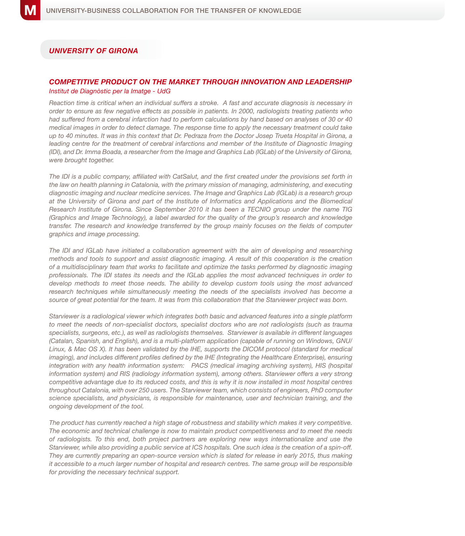### *University OF GIRONA*

#### *Competitive product on the market through innovation and leadership Institut de Diagnòstic per la Imatge - UdG*

*Reaction time is critical when an individual suffers a stroke. A fast and accurate diagnosis is necessary in order to ensure as few negative effects as possible in patients. In 2000, radiologists treating patients who had suffered from a cerebral infarction had to perform calculations by hand based on analyses of 30 or 40 medical images in order to detect damage. The response time to apply the necessary treatment could take up to 40 minutes. It was in this context that Dr. Pedraza from the Doctor Josep Trueta Hospital in Girona, a leading centre for the treatment of cerebral infarctions and member of the Institute of Diagnostic Imaging (IDI), and Dr. Imma Boada, a researcher from the Image and Graphics Lab (IGLab) of the University of Girona, were brought together.*

*The IDI is a public company, affiliated with CatSalut, and the first created under the provisions set forth in the law on health planning in Catalonia, with the primary mission of managing, administering, and executing diagnostic imaging and nuclear medicine services. The Image and Graphics Lab (IGLab) is a research group at the University of Girona and part of the Institute of Informatics and Applications and the Biomedical Research Institute of Girona. Since September 2010 it has been a TECNIO group under the name TIG (Graphics and Image Technology), a label awarded for the quality of the group's research and knowledge transfer. The research and knowledge transferred by the group mainly focuses on the fields of computer graphics and image processing.*

*The IDI and IGLab have initiated a collaboration agreement with the aim of developing and researching methods and tools to support and assist diagnostic imaging. A result of this cooperation is the creation of a multidisciplinary team that works to facilitate and optimize the tasks performed by diagnostic imaging professionals. The IDI states its needs and the IGLab applies the most advanced techniques in order to*  develop methods to meet those needs. The ability to develop custom tools using the most advanced research techniques while simultaneously meeting the needs of the specialists involved has become a *source of great potential for the team. It was from this collaboration that the Starviewer project was born.*

*Starviewer is a radiological viewer which integrates both basic and advanced features into a single platform*  to meet the needs of non-specialist doctors, specialist doctors who are not radiologists (such as trauma *specialists, surgeons, etc.), as well as radiologists themselves. Starviewer is available in different languages (Catalan, Spanish, and English), and is a multi-platform application (capable of running on Windows, GNU/ Linux, & Mac OS X). It has been validated by the IHE, supports the DICOM protocol (standard for medical imaging), and includes different profiles defined by the IHE (Integrating the Healthcare Enterprise), ensuring integration with any health information system: PACS (medical imaging archiving system), HIS (hospital information system) and RIS (radiology information system), among others. Starviewer offers a very strong competitive advantage due to its reduced costs, and this is why it is now installed in most hospital centres throughout Catalonia, with over 250 users. The Starviewer team, which consists of engineers, PhD computer science specialists, and physicians, is responsible for maintenance, user and technician training, and the ongoing development of the tool.* 

*The product has currently reached a high stage of robustness and stability which makes it very competitive. The economic and technical challenge is now to maintain product competitiveness and to meet the needs of radiologists. To this end, both project partners are exploring new ways internationalize and use the Starviewer, while also providing a public service at ICS hospitals. One such idea is the creation of a spin-off. They are currently preparing an open-source version which is slated for release in early 2015, thus making it accessible to a much larger number of hospital and research centres. The same group will be responsible for providing the necessary technical support.*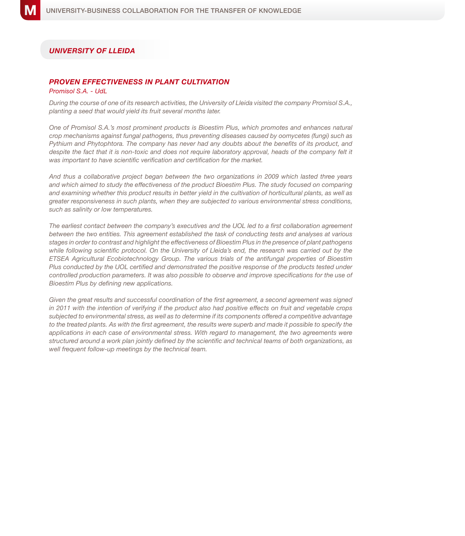### *University of Lleida*

## *Proven effectiveness in plant cultivation*

#### *Promisol S.A. - UdL*

*During the course of one of its research activities, the University of Lleida visited the company Promisol S.A., planting a seed that would yield its fruit several months later.* 

*One of Promisol S.A.'s most prominent products is Bioestim Plus, which promotes and enhances natural crop mechanisms against fungal pathogens, thus preventing diseases caused by oomycetes (fungi) such as Pythium and Phytophtora. The company has never had any doubts about the benefits of its product, and despite the fact that it is non-toxic and does not require laboratory approval, heads of the company felt it was important to have scientific verification and certification for the market.* 

*And thus a collaborative project began between the two organizations in 2009 which lasted three years and which aimed to study the effectiveness of the product Bioestim Plus. The study focused on comparing and examining whether this product results in better yield in the cultivation of horticultural plants, as well as greater responsiveness in such plants, when they are subjected to various environmental stress conditions, such as salinity or low temperatures.* 

*The earliest contact between the company's executives and the UOL led to a first collaboration agreement between the two entities. This agreement established the task of conducting tests and analyses at various stages in order to contrast and highlight the effectiveness of Bioestim Plus in the presence of plant pathogens*  while following scientific protocol. On the University of Lleida's end, the research was carried out by the *ETSEA Agricultural Ecobiotechnology Group. The various trials of the antifungal properties of Bioestim*  Plus conducted by the UOL certified and demonstrated the positive response of the products tested under *controlled production parameters. It was also possible to observe and improve specifications for the use of Bioestim Plus by defining new applications.*

Given the great results and successful coordination of the first agreement, a second agreement was signed *in 2011 with the intention of verifying if the product also had positive effects on fruit and vegetable crops subjected to environmental stress, as well as to determine if its components offered a competitive advantage*  to the treated plants. As with the first agreement, the results were superb and made it possible to specify the *applications in each case of environmental stress. With regard to management, the two agreements were structured around a work plan jointly defined by the scientific and technical teams of both organizations, as well frequent follow-up meetings by the technical team.*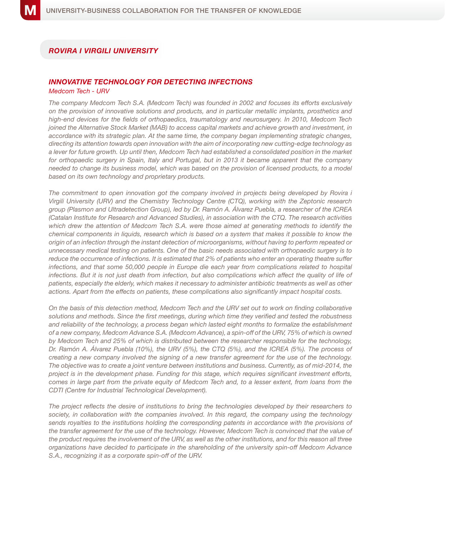## *Rovira i VirgilI University*

#### *Innovative technology for detecting infections Medcom Tech - URV*

*The company Medcom Tech S.A. (Medcom Tech) was founded in 2002 and focuses its efforts exclusively on the provision of innovative solutions and products, and in particular metallic implants, prosthetics and high-end devices for the fields of orthopaedics, traumatology and neurosurgery. In 2010, Medcom Tech joined the Alternative Stock Market (MAB) to access capital markets and achieve growth and investment, in accordance with its strategic plan. At the same time, the company began implementing strategic changes, directing its attention towards open innovation with the aim of incorporating new cutting-edge technology as a lever for future growth. Up until then, Medcom Tech had established a consolidated position in the market for orthopaedic surgery in Spain, Italy and Portugal, but in 2013 it became apparent that the company needed to change its business model, which was based on the provision of licensed products, to a model based on its own technology and proprietary products.*

*The commitment to open innovation got the company involved in projects being developed by Rovira i Virgili University (URV) and the Chemistry Technology Centre (CTQ), working with the Zeptonic research group (Plasmon and Ultradetection Group), led by Dr. Ramón A. Álvarez Puebla, a researcher of the ICREA (Catalan Institute for Research and Advanced Studies), in association with the CTQ. The research activities which drew the attention of Medcom Tech S.A. were those aimed at generating methods to identify the chemical components in liquids, research which is based on a system that makes it possible to know the origin of an infection through the instant detection of microorganisms, without having to perform repeated or unnecessary medical testing on patients. One of the basic needs associated with orthopaedic surgery is to reduce the occurrence of infections. It is estimated that 2% of patients who enter an operating theatre suffer infections, and that some 50,000 people in Europe die each year from complications related to hospital infections. But it is not just death from infection, but also complications which affect the quality of life of patients, especially the elderly, which makes it necessary to administer antibiotic treatments as well as other actions. Apart from the effects on patients, these complications also significantly impact hospital costs.*

*On the basis of this detection method, Medcom Tech and the URV set out to work on finding collaborative solutions and methods. Since the first meetings, during which time they verified and tested the robustness and reliability of the technology, a process began which lasted eight months to formalize the establishment of a new company, Medcom Advance S.A. (Medcom Advance), a spin-off of the URV, 75% of which is owned by Medcom Tech and 25% of which is distributed between the researcher responsible for the technology, Dr. Ramón A. Álvarez Puebla (10%), the URV (5%), the CTQ (5%), and the ICREA (5%). The process of creating a new company involved the signing of a new transfer agreement for the use of the technology. The objective was to create a joint venture between institutions and business. Currently, as of mid-2014, the project is in the development phase. Funding for this stage, which requires significant investment efforts, comes in large part from the private equity of Medcom Tech and, to a lesser extent, from loans from the CDTI (Centre for Industrial Technological Development).* 

*The project reflects the desire of institutions to bring the technologies developed by their researchers to*  society, in collaboration with the companies involved. In this regard, the company using the technology *sends royalties to the institutions holding the corresponding patents in accordance with the provisions of the transfer agreement for the use of the technology. However, Medcom Tech is convinced that the value of the product requires the involvement of the URV, as well as the other institutions, and for this reason all three organizations have decided to participate in the shareholding of the university spin-off Medcom Advance S.A., recognizing it as a corporate spin-off of the URV.*